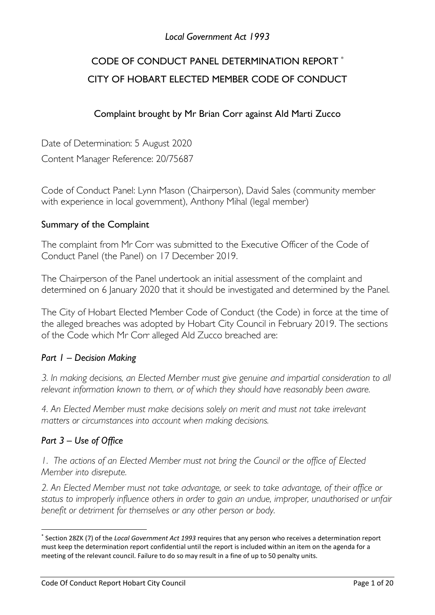# *Local Government Act 1993*

# CODE OF CONDUCT PANEL DETERMINATION REPORT \* CITY OF HOBART ELECTED MEMBER CODE OF CONDUCT

# Complaint brought by Mr Brian Corr against Ald Marti Zucco

Date of Determination: 5 August 2020 Content Manager Reference: 20/75687

Code of Conduct Panel: Lynn Mason (Chairperson), David Sales (community member with experience in local government), Anthony Mihal (legal member)

# Summary of the Complaint

The complaint from Mr Corr was submitted to the Executive Officer of the Code of Conduct Panel (the Panel) on 17 December 2019.

The Chairperson of the Panel undertook an initial assessment of the complaint and determined on 6 January 2020 that it should be investigated and determined by the Panel.

The City of Hobart Elected Member Code of Conduct (the Code) in force at the time of the alleged breaches was adopted by Hobart City Council in February 2019. The sections of the Code which Mr Corr alleged Ald Zucco breached are:

#### *Part 1 – Decision Making*

*3. In making decisions, an Elected Member must give genuine and impartial consideration to all relevant information known to them, or of which they should have reasonably been aware.* 

*4. An Elected Member must make decisions solely on merit and must not take irrelevant matters or circumstances into account when making decisions.* 

# *Part 3 – Use of Office*

**.** 

*1. The actions of an Elected Member must not bring the Council or the office of Elected Member into disrepute.*

*2. An Elected Member must not take advantage, or seek to take advantage, of their office or status to improperly influence others in order to gain an undue, improper, unauthorised or unfair benefit or detriment for themselves or any other person or body.*

<sup>\*</sup> Section 28ZK (7) of the *Local Government Act 1993* requires that any person who receives a determination report must keep the determination report confidential until the report is included within an item on the agenda for a meeting of the relevant council. Failure to do so may result in a fine of up to 50 penalty units.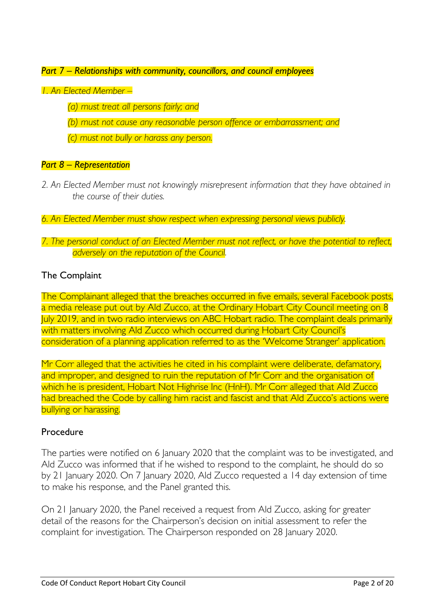#### *Part 7 – Relationships with community, councillors, and council employees*

#### *1. An Elected Member –*

*(a) must treat all persons fairly; and*

*(b) must not cause any reasonable person offence or embarrassment; and*

*(c) must not bully or harass any person.*

#### *Part 8 – Representation*

- *2. An Elected Member must not knowingly misrepresent information that they have obtained in the course of their duties.*
- *6. An Elected Member must show respect when expressing personal views publicly.*

### *7. The personal conduct of an Elected Member must not reflect, or have the potential to reflect, adversely on the reputation of the Council.*

# The Complaint

The Complainant alleged that the breaches occurred in five emails, several Facebook posts, a media release put out by Ald Zucco, at the Ordinary Hobart City Council meeting on 8 July 2019, and in two radio interviews on ABC Hobart radio. The complaint deals primarily with matters involving Ald Zucco which occurred during Hobart City Council's consideration of a planning application referred to as the 'Welcome Stranger' application.

Mr Corr alleged that the activities he cited in his complaint were deliberate, defamatory, and improper, and designed to ruin the reputation of Mr Corr and the organisation of which he is president, Hobart Not Highrise Inc (HnH). Mr Corr alleged that Ald Zucco had breached the Code by calling him racist and fascist and that Ald Zucco's actions were bullying or harassing.

#### Procedure

The parties were notified on 6 January 2020 that the complaint was to be investigated, and Ald Zucco was informed that if he wished to respond to the complaint, he should do so by 21 January 2020. On 7 January 2020, Ald Zucco requested a 14 day extension of time to make his response, and the Panel granted this.

On 21 January 2020, the Panel received a request from Ald Zucco, asking for greater detail of the reasons for the Chairperson's decision on initial assessment to refer the complaint for investigation. The Chairperson responded on 28 January 2020.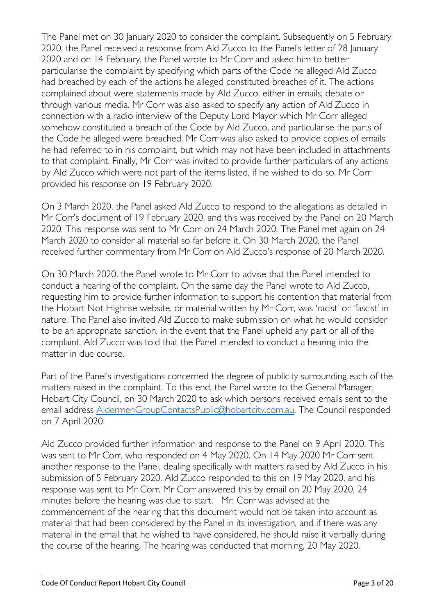The Panel met on 30 January 2020 to consider the complaint. Subsequently on 5 February 2020, the Panel received a response from Ald Zucco to the Panel's letter of 28 January 2020 and on 14 February, the Panel wrote to Mr Corr and asked him to better particularise the complaint by specifying which parts of the Code he alleged Ald Zucco had breached by each of the actions he alleged constituted breaches of it. The actions complained about were statements made by Ald Zucco, either in emails, debate or through various media. Mr Corr was also asked to specify any action of Ald Zucco in connection with a radio interview of the Deputy Lord Mayor which Mr Corr alleged somehow constituted a breach of the Code by Ald Zucco, and particularise the parts of the Code he alleged were breached. Mr Corr was also asked to provide copies of emails he had referred to in his complaint, but which may not have been included in attachments to that complaint. Finally, Mr Corr was invited to provide further particulars of any actions by Ald Zucco which were not part of the items listed, if he wished to do so. Mr Corr provided his response on 19 February 2020.

On 3 March 2020, the Panel asked Ald Zucco to respond to the allegations as detailed in Mr Corr's document of 19 February 2020, and this was received by the Panel on 20 March 2020. This response was sent to Mr Corr on 24 March 2020. The Panel met again on 24 March 2020 to consider all material so far before it. On 30 March 2020, the Panel received further commentary from Mr Corr on Ald Zucco's response of 20 March 2020.

On 30 March 2020, the Panel wrote to Mr Corr to advise that the Panel intended to conduct a hearing of the complaint. On the same day the Panel wrote to Ald Zucco, requesting him to provide further information to support his contention that material from the Hobart Not Highrise website, or material written by Mr Corr, was 'racist' or 'fascist' in nature. The Panel also invited Ald Zucco to make submission on what he would consider to be an appropriate sanction, in the event that the Panel upheld any part or all of the complaint. Ald Zucco was told that the Panel intended to conduct a hearing into the matter in due course.

Part of the Panel's investigations concerned the degree of publicity surrounding each of the matters raised in the complaint. To this end, the Panel wrote to the General Manager, Hobart City Council, on 30 March 2020 to ask which persons received emails sent to the email address [AldermenGroupContactsPublic@hobartcity.com.au.](mailto:AldermenGroupContactsPublic@hobartcity.com.au) The Council responded on 7 April 2020.

Ald Zucco provided further information and response to the Panel on 9 April 2020. This was sent to Mr Corr, who responded on 4 May 2020. On 14 May 2020 Mr Corr sent another response to the Panel, dealing specifically with matters raised by Ald Zucco in his submission of 5 February 2020. Ald Zucco responded to this on 19 May 2020, and his response was sent to Mr Corr. Mr Corr answered this by email on 20 May 2020, 24 minutes before the hearing was due to start. Mr. Corr was advised at the commencement of the hearing that this document would not be taken into account as material that had been considered by the Panel in its investigation, and if there was any material in the email that he wished to have considered, he should raise it verbally during the course of the hearing. The hearing was conducted that morning, 20 May 2020.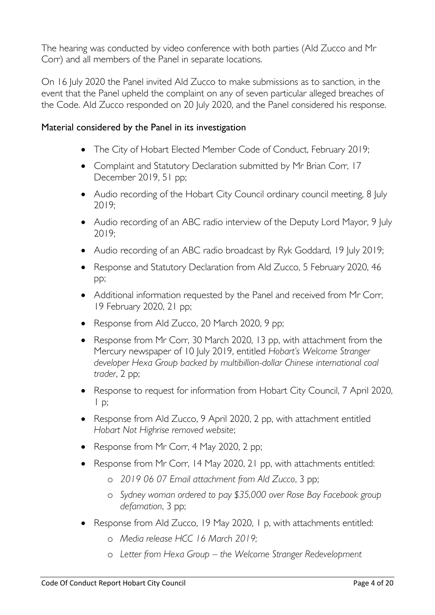The hearing was conducted by video conference with both parties (Ald Zucco and Mr Corr) and all members of the Panel in separate locations.

On 16 July 2020 the Panel invited Ald Zucco to make submissions as to sanction, in the event that the Panel upheld the complaint on any of seven particular alleged breaches of the Code. Ald Zucco responded on 20 July 2020, and the Panel considered his response.

# Material considered by the Panel in its investigation

- The City of Hobart Elected Member Code of Conduct, February 2019;
- Complaint and Statutory Declaration submitted by Mr Brian Corr, 17 December 2019, 51 pp;
- Audio recording of the Hobart City Council ordinary council meeting, 8 July 2019;
- Audio recording of an ABC radio interview of the Deputy Lord Mayor, 9 July 2019;
- Audio recording of an ABC radio broadcast by Ryk Goddard, 19 July 2019;
- Response and Statutory Declaration from Ald Zucco, 5 February 2020, 46 pp;
- Additional information requested by the Panel and received from Mr Corr, 19 February 2020, 21 pp;
- Response from Ald Zucco, 20 March 2020, 9 pp;
- Response from Mr Corr, 30 March 2020, 13 pp, with attachment from the Mercury newspaper of 10 July 2019, entitled *Hobart's Welcome Stranger developer Hexa Group backed by multibillion-dollar Chinese international coal trader*, 2 pp;
- Response to request for information from Hobart City Council, 7 April 2020,  $1$  p;
- Response from Ald Zucco, 9 April 2020, 2 pp, with attachment entitled *Hobart Not Highrise removed website*;
- Response from Mr Corr, 4 May 2020, 2 pp;
- Response from Mr Corr, 14 May 2020, 21 pp, with attachments entitled:
	- o *2019 06 07 Email attachment from Ald Zucco*, 3 pp;
	- o *Sydney woman ordered to pay \$35,000 over Rose Bay Facebook group defamation*, 3 pp;
- Response from Ald Zucco, 19 May 2020, 1 p, with attachments entitled:
	- o *Media release HCC 16 March 2019;*
	- o *Letter from Hexa Group – the Welcome Stranger Redevelopment*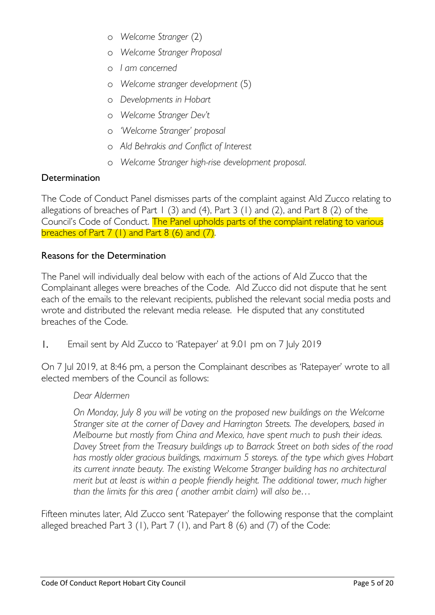- o *Welcome Stranger* (2)
- o *Welcome Stranger Proposal*
- o *I am concerned*
- o *Welcome stranger development* (5)
- o *Developments in Hobart*
- o *Welcome Stranger Dev't*
- o *'Welcome Stranger' proposal*
- o *Ald Behrakis and Conflict of Interest*
- o *Welcome Stranger high-rise development proposal.*

# **Determination**

The Code of Conduct Panel dismisses parts of the complaint against Ald Zucco relating to allegations of breaches of Part 1 (3) and (4), Part 3 (1) and (2), and Part 8 (2) of the Council's Code of Conduct. The Panel upholds parts of the complaint relating to various breaches of Part  $7(1)$  and Part  $8(6)$  and  $(7)$ .

# Reasons for the Determination

The Panel will individually deal below with each of the actions of Ald Zucco that the Complainant alleges were breaches of the Code. Ald Zucco did not dispute that he sent each of the emails to the relevant recipients, published the relevant social media posts and wrote and distributed the relevant media release. He disputed that any constituted breaches of the Code.

1. Email sent by Ald Zucco to 'Ratepayer' at 9.01 pm on 7 July 2019

On 7 Jul 2019, at 8:46 pm, a person the Complainant describes as 'Ratepayer' wrote to all elected members of the Council as follows:

# *Dear Aldermen*

*On Monday, July 8 you will be voting on the proposed new buildings on the Welcome Stranger site at the corner of Davey and Harrington Streets. The developers, based in Melbourne but mostly from China and Mexico, have spent much to push their ideas. Davey Street from the Treasury buildings up to Barrack Street on both sides of the road has mostly older gracious buildings, maximum 5 storeys. of the type which gives Hobart its current innate beauty. The existing Welcome Stranger building has no architectural merit but at least is within a people friendly height. The additional tower, much higher than the limits for this area ( another ambit claim) will also be…*

Fifteen minutes later, Ald Zucco sent 'Ratepayer' the following response that the complaint alleged breached Part  $3$  (1), Part  $7$  (1), and Part  $8$  (6) and (7) of the Code: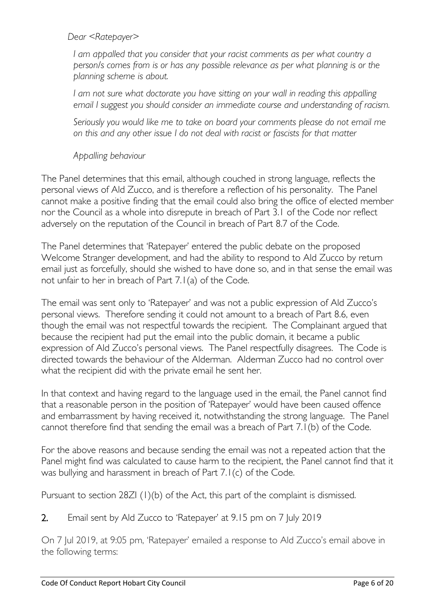*Dear <Ratepayer>*

*I am appalled that you consider that your racist comments as per what country a person/s comes from is or has any possible relevance as per what planning is or the planning scheme is about.* 

*I am not sure what doctorate you have sitting on your wall in reading this appalling email I suggest you should consider an immediate course and understanding of racism.*

*Seriously you would like me to take on board your comments please do not email me on this and any other issue I do not deal with racist or fascists for that matter*

*Appalling behaviour*

The Panel determines that this email, although couched in strong language, reflects the personal views of Ald Zucco, and is therefore a reflection of his personality. The Panel cannot make a positive finding that the email could also bring the office of elected member nor the Council as a whole into disrepute in breach of Part 3.1 of the Code nor reflect adversely on the reputation of the Council in breach of Part 8.7 of the Code.

The Panel determines that 'Ratepayer' entered the public debate on the proposed Welcome Stranger development, and had the ability to respond to Ald Zucco by return email just as forcefully, should she wished to have done so, and in that sense the email was not unfair to her in breach of Part 7.1(a) of the Code.

The email was sent only to 'Ratepayer' and was not a public expression of Ald Zucco's personal views. Therefore sending it could not amount to a breach of Part 8.6, even though the email was not respectful towards the recipient. The Complainant argued that because the recipient had put the email into the public domain, it became a public expression of Ald Zucco's personal views. The Panel respectfully disagrees. The Code is directed towards the behaviour of the Alderman. Alderman Zucco had no control over what the recipient did with the private email he sent her.

In that context and having regard to the language used in the email, the Panel cannot find that a reasonable person in the position of 'Ratepayer' would have been caused offence and embarrassment by having received it, notwithstanding the strong language. The Panel cannot therefore find that sending the email was a breach of Part 7.1(b) of the Code.

For the above reasons and because sending the email was not a repeated action that the Panel might find was calculated to cause harm to the recipient, the Panel cannot find that it was bullying and harassment in breach of Part 7.1(c) of the Code.

Pursuant to section 28ZI (1)(b) of the Act, this part of the complaint is dismissed.

2. Email sent by Ald Zucco to 'Ratepayer' at 9.15 pm on 7 July 2019

On 7 Jul 2019, at 9:05 pm, 'Ratepayer' emailed a response to Ald Zucco's email above in the following terms: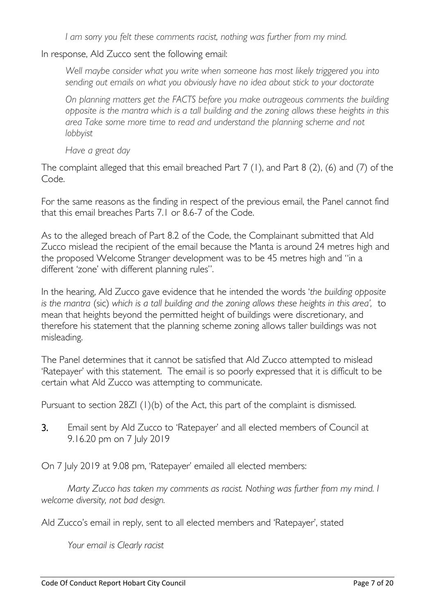*I am sorry you felt these comments racist, nothing was further from my mind.*

In response, Ald Zucco sent the following email:

*Well maybe consider what you write when someone has most likely triggered you into sending out emails on what you obviously have no idea about stick to your doctorate*

*On planning matters get the FACTS before you make outrageous comments the building opposite is the mantra which is a tall building and the zoning allows these heights in this area Take some more time to read and understand the planning scheme and not lobbyist*

*Have a great day*

The complaint alleged that this email breached Part 7 (1), and Part 8 (2), (6) and (7) of the Code.

For the same reasons as the finding in respect of the previous email, the Panel cannot find that this email breaches Parts 7.1 or 8.6-7 of the Code.

As to the alleged breach of Part 8.2 of the Code, the Complainant submitted that Ald Zucco mislead the recipient of the email because the Manta is around 24 metres high and the proposed Welcome Stranger development was to be 45 metres high and "in a different 'zone' with different planning rules".

In the hearing, Ald Zucco gave evidence that he intended the words '*the building opposite is the mantra* (sic) *which is a tall building and the zoning allows these heights in this area',* to mean that heights beyond the permitted height of buildings were discretionary, and therefore his statement that the planning scheme zoning allows taller buildings was not misleading.

The Panel determines that it cannot be satisfied that Ald Zucco attempted to mislead 'Ratepayer' with this statement. The email is so poorly expressed that it is difficult to be certain what Ald Zucco was attempting to communicate.

Pursuant to section 28ZI (1)(b) of the Act, this part of the complaint is dismissed.

3. Email sent by Ald Zucco to 'Ratepayer' and all elected members of Council at 9.16.20 pm on 7 July 2019

On 7 July 2019 at 9.08 pm, 'Ratepayer' emailed all elected members:

*Marty Zucco has taken my comments as racist. Nothing was further from my mind. I welcome diversity, not bad design.*

Ald Zucco's email in reply, sent to all elected members and 'Ratepayer', stated

*Your email is Clearly racist*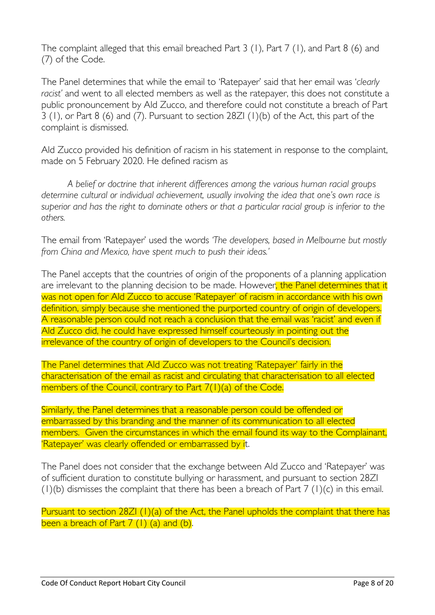The complaint alleged that this email breached Part 3 (1), Part 7 (1), and Part 8 (6) and (7) of the Code.

The Panel determines that while the email to 'Ratepayer' said that her email was '*clearly racist'* and went to all elected members as well as the ratepayer, this does not constitute a public pronouncement by Ald Zucco, and therefore could not constitute a breach of Part 3 (1), or Part 8 (6) and (7). Pursuant to section 28ZI (1)(b) of the Act, this part of the complaint is dismissed.

Ald Zucco provided his definition of racism in his statement in response to the complaint, made on 5 February 2020. He defined racism as

*A belief or doctrine that inherent differences among the various human racial groups determine cultural or individual achievement, usually involving the idea that one's own race is superior and has the right to dominate others or that a particular racial group is inferior to the others.*

The email from 'Ratepayer' used the words *'The developers, based in Melbourne but mostly from China and Mexico, have spent much to push their ideas.'*

The Panel accepts that the countries of origin of the proponents of a planning application are irrelevant to the planning decision to be made. However, the Panel determines that it was not open for Ald Zucco to accuse 'Ratepayer' of racism in accordance with his own definition, simply because she mentioned the purported country of origin of developers. A reasonable person could not reach a conclusion that the email was 'racist' and even if Ald Zucco did, he could have expressed himself courteously in pointing out the irrelevance of the country of origin of developers to the Council's decision.

The Panel determines that Ald Zucco was not treating 'Ratepayer' fairly in the characterisation of the email as racist and circulating that characterisation to all elected members of the Council, contrary to Part 7(1)(a) of the Code.

Similarly, the Panel determines that a reasonable person could be offended or embarrassed by this branding and the manner of its communication to all elected members. Given the circumstances in which the email found its way to the Complainant, 'Ratepayer' was clearly offended or embarrassed by it.

The Panel does not consider that the exchange between Ald Zucco and 'Ratepayer' was of sufficient duration to constitute bullying or harassment, and pursuant to section 28ZI  $(1)(b)$  dismisses the complaint that there has been a breach of Part 7  $(1)(c)$  in this email.

Pursuant to section 28ZI (1)(a) of the Act, the Panel upholds the complaint that there has been a breach of Part  $7(1)(a)$  and  $(b)$ .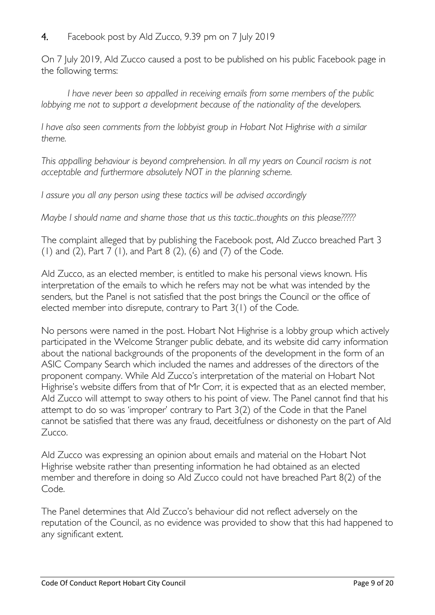# 4. Facebook post by Ald Zucco, 9.39 pm on 7 July 2019

On 7 July 2019, Ald Zucco caused a post to be published on his public Facebook page in the following terms:

*I have never been so appalled in receiving emails from some members of the public lobbying me not to support a development because of the nationality of the developers.*

*I have also seen comments from the lobbyist group in Hobart Not Highrise with a similar theme.*

*This appalling behaviour is beyond comprehension. In all my years on Council racism is not acceptable and furthermore absolutely NOT in the planning scheme.*

*I assure you all any person using these tactics will be advised accordingly*

*Maybe I should name and shame those that us this tactic..thoughts on this please?????*

The complaint alleged that by publishing the Facebook post, Ald Zucco breached Part 3 (1) and (2), Part 7 (1), and Part 8 (2), (6) and (7) of the Code.

Ald Zucco, as an elected member, is entitled to make his personal views known. His interpretation of the emails to which he refers may not be what was intended by the senders, but the Panel is not satisfied that the post brings the Council or the office of elected member into disrepute, contrary to Part 3(1) of the Code.

No persons were named in the post. Hobart Not Highrise is a lobby group which actively participated in the Welcome Stranger public debate, and its website did carry information about the national backgrounds of the proponents of the development in the form of an ASIC Company Search which included the names and addresses of the directors of the proponent company. While Ald Zucco's interpretation of the material on Hobart Not Highrise's website differs from that of Mr Corr, it is expected that as an elected member, Ald Zucco will attempt to sway others to his point of view. The Panel cannot find that his attempt to do so was 'improper' contrary to Part 3(2) of the Code in that the Panel cannot be satisfied that there was any fraud, deceitfulness or dishonesty on the part of Ald Zucco.

Ald Zucco was expressing an opinion about emails and material on the Hobart Not Highrise website rather than presenting information he had obtained as an elected member and therefore in doing so Ald Zucco could not have breached Part 8(2) of the Code.

The Panel determines that Ald Zucco's behaviour did not reflect adversely on the reputation of the Council, as no evidence was provided to show that this had happened to any significant extent.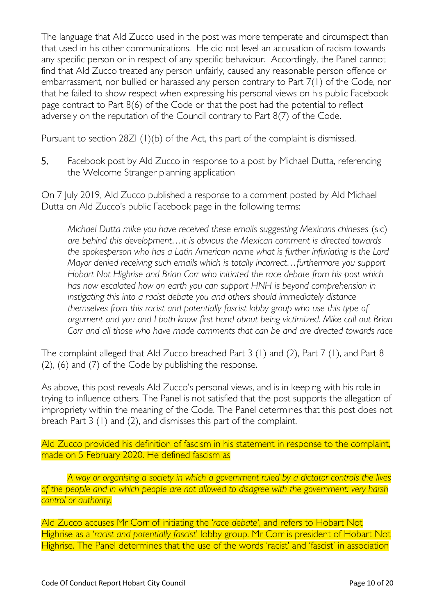The language that Ald Zucco used in the post was more temperate and circumspect than that used in his other communications. He did not level an accusation of racism towards any specific person or in respect of any specific behaviour. Accordingly, the Panel cannot find that Ald Zucco treated any person unfairly, caused any reasonable person offence or embarrassment, nor bullied or harassed any person contrary to Part 7(1) of the Code, nor that he failed to show respect when expressing his personal views on his public Facebook page contract to Part 8(6) of the Code or that the post had the potential to reflect adversely on the reputation of the Council contrary to Part 8(7) of the Code.

Pursuant to section 28ZI (1)(b) of the Act, this part of the complaint is dismissed.

5. Facebook post by Ald Zucco in response to a post by Michael Dutta, referencing the Welcome Stranger planning application

On 7 July 2019, Ald Zucco published a response to a comment posted by Ald Michael Dutta on Ald Zucco's public Facebook page in the following terms:

*Michael Dutta mike you have received these emails suggesting Mexicans chineses (sic) are behind this development…it is obvious the Mexican comment is directed towards the spokesperson who has a Latin American name what is further infuriating is the Lord Mayor denied receiving such emails which is totally incorrect…furthermore you support Hobart Not Highrise and Brian Corr who initiated the race debate from his post which has now escalated how on earth you can support HNH is beyond comprehension in instigating this into a racist debate you and others should immediately distance themselves from this racist and potentially fascist lobby group who use this type of argument and you and I both know first hand about being victimized. Mike call out Brian Corr and all those who have made comments that can be and are directed towards race*

The complaint alleged that Ald Zucco breached Part 3 (1) and (2), Part 7 (1), and Part 8 (2), (6) and (7) of the Code by publishing the response.

As above, this post reveals Ald Zucco's personal views, and is in keeping with his role in trying to influence others. The Panel is not satisfied that the post supports the allegation of impropriety within the meaning of the Code. The Panel determines that this post does not breach Part 3 (1) and (2), and dismisses this part of the complaint.

Ald Zucco provided his definition of fascism in his statement in response to the complaint, made on 5 February 2020. He defined fascism as

*A way or organising a society in which a government ruled by a dictator controls the lives of the people and in which people are not allowed to disagree with the government: very harsh control or authority.* 

Ald Zucco accuses Mr Corr of initiating the '*race debate'*, and refers to Hobart Not Highrise as a '*racist and potentially fascist*' lobby group. Mr Corr is president of Hobart Not Highrise. The Panel determines that the use of the words 'racist' and 'fascist' in association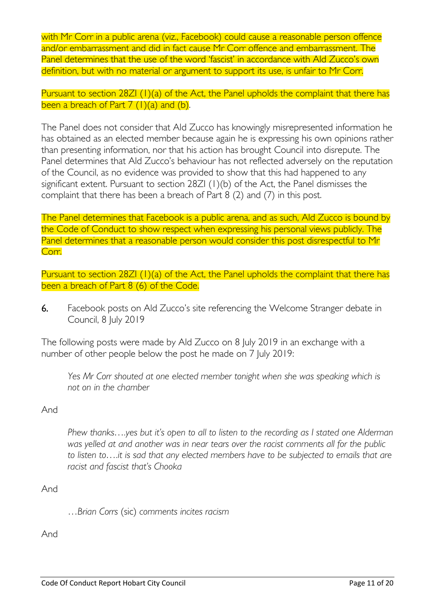with Mr Corr in a public arena (viz., Facebook) could cause a reasonable person offence and/or embarrassment and did in fact cause Mr Corr offence and embarrassment. The Panel determines that the use of the word 'fascist' in accordance with Ald Zucco's own definition, but with no material or argument to support its use, is unfair to Mr Corr.

Pursuant to section 28ZI (1)(a) of the Act, the Panel upholds the complaint that there has been a breach of Part  $7 (1)(a)$  and  $(b)$ .

The Panel does not consider that Ald Zucco has knowingly misrepresented information he has obtained as an elected member because again he is expressing his own opinions rather than presenting information, nor that his action has brought Council into disrepute. The Panel determines that Ald Zucco's behaviour has not reflected adversely on the reputation of the Council, as no evidence was provided to show that this had happened to any significant extent. Pursuant to section 28ZI (1)(b) of the Act, the Panel dismisses the complaint that there has been a breach of Part 8 (2) and (7) in this post.

The Panel determines that Facebook is a public arena, and as such, Ald Zucco is bound by the Code of Conduct to show respect when expressing his personal views publicly. The Panel determines that a reasonable person would consider this post disrespectful to Mr Corr.

Pursuant to section 28ZI (1)(a) of the Act, the Panel upholds the complaint that there has been a breach of Part 8 (6) of the Code.

6. Facebook posts on Ald Zucco's site referencing the Welcome Stranger debate in Council, 8 July 2019

The following posts were made by Ald Zucco on 8 July 2019 in an exchange with a number of other people below the post he made on 7 July 2019:

Yes Mr Corr shouted at one elected member tonight when she was speaking which is *not on in the chamber*

# And

*Phew thanks….yes but it's open to all to listen to the recording as I stated one Alderman was yelled at and another was in near tears over the racist comments all for the public to listen to….it is sad that any elected members have to be subjected to emails that are racist and fascist that's Chooka*

# And

…*Brian Corrs* (sic) *comments incites racism*

And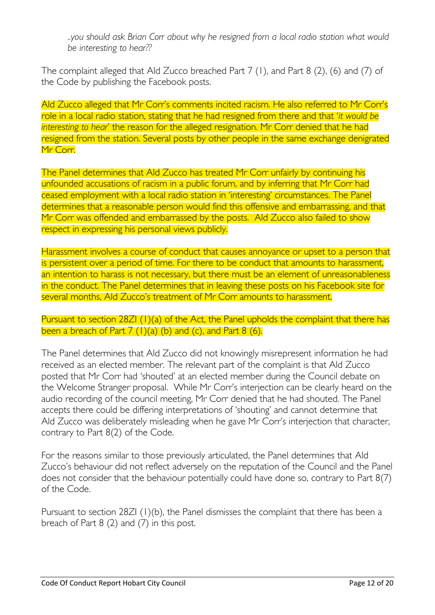*..you should ask Brian Corr about why he resigned from a local radio station what would be interesting to hear??*

The complaint alleged that Ald Zucco breached Part 7 (1), and Part 8 (2), (6) and (7) of the Code by publishing the Facebook posts.

Ald Zucco alleged that Mr Corr's comments incited racism. He also referred to Mr Corr's role in a local radio station, stating that he had resigned from there and that '*it would be interesting to hear*' the reason for the alleged resignation. Mr Corr denied that he had resigned from the station. Several posts by other people in the same exchange denigrated Mr Corr

The Panel determines that Ald Zucco has treated Mr Corr unfairly by continuing his unfounded accusations of racism in a public forum, and by inferring that Mr Corr had ceased employment with a local radio station in 'interesting' circumstances. The Panel determines that a reasonable person would find this offensive and embarrassing, and that Mr Corr was offended and embarrassed by the posts. Ald Zucco also failed to show respect in expressing his personal views publicly.

Harassment involves a course of conduct that causes annoyance or upset to a person that is persistent over a period of time. For there to be conduct that amounts to harassment, an intention to harass is not necessary, but there must be an element of unreasonableness in the conduct. The Panel determines that in leaving these posts on his Facebook site for several months, Ald Zucco's treatment of Mr Corr amounts to harassment.

Pursuant to section 28ZI (1)(a) of the Act, the Panel upholds the complaint that there has been a breach of Part  $7 (1)(a) (b)$  and  $(c)$ , and Part  $8 (6)$ .

The Panel determines that Ald Zucco did not knowingly misrepresent information he had received as an elected member. The relevant part of the complaint is that Ald Zucco posted that Mr Corr had 'shouted' at an elected member during the Council debate on the Welcome Stranger proposal. While Mr Corr's interjection can be clearly heard on the audio recording of the council meeting, Mr Corr denied that he had shouted. The Panel accepts there could be differing interpretations of 'shouting' and cannot determine that Ald Zucco was deliberately misleading when he gave Mr Corr's interjection that character, contrary to Part 8(2) of the Code.

For the reasons similar to those previously articulated, the Panel determines that Ald Zucco's behaviour did not reflect adversely on the reputation of the Council and the Panel does not consider that the behaviour potentially could have done so, contrary to Part 8(7) of the Code.

Pursuant to section 28ZI (1)(b), the Panel dismisses the complaint that there has been a breach of Part 8 (2) and (7) in this post.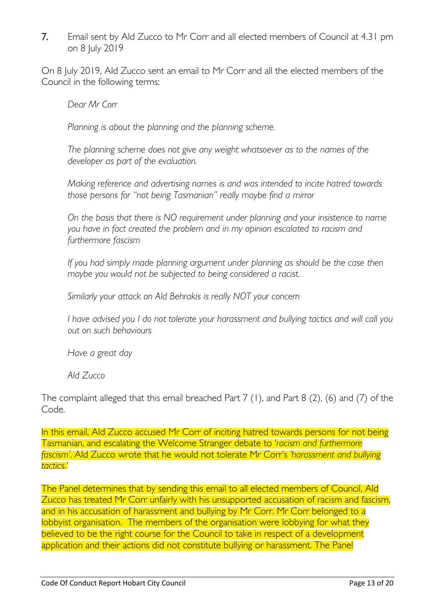7. Email sent by Ald Zucco to Mr Corr and all elected members of Council at 4.31 pm on 8 July 2019

On 8 July 2019, Ald Zucco sent an email to Mr Corr and all the elected members of the Council in the following terms:

*Dear Mr Corr*

*Planning is about the planning and the planning scheme.*

*The planning scheme does not give any weight whatsoever as to the names of the developer as part of the evaluation.*

*Making reference and advertising names is and was intended to incite hatred towards those persons for "not being Tasmanian" really maybe find a mirror*

*On the basis that there is NO requirement under planning and your insistence to name you have in fact created the problem and in my opinion escalated to racism and furthermore fascism*

*If you had simply made planning argument under planning as should be the case then maybe you would not be subjected to being considered a racist.*

*Similarly your attack on Ald Behrakis is really NOT your concern*

*I have advised you I do not tolerate your harassment and bullying tactics and will call you out on such behaviours*

*Have a great day*

*Ald Zucco*

The complaint alleged that this email breached Part 7 (1), and Part 8 (2), (6) and (7) of the Code.

In this email, Ald Zucco accused Mr Corr of inciting hatred towards persons for not being Tasmanian, and escalating the Welcome Stranger debate to '*racism and furthermore fascism'*. Ald Zucco wrote that he would not tolerate Mr Corr's *'harassment and bullying tactics.'*

The Panel determines that by sending this email to all elected members of Council, Ald Zucco has treated Mr Corr unfairly with his unsupported accusation of racism and fascism, and in his accusation of harassment and bullying by Mr Corr. Mr Corr belonged to a lobbyist organisation. The members of the organisation were lobbying for what they believed to be the right course for the Council to take in respect of a development application and their actions did not constitute bullying or harassment. The Panel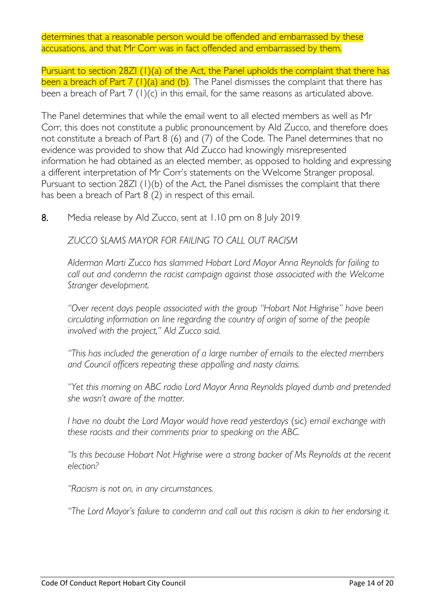determines that a reasonable person would be offended and embarrassed by these accusations, and that Mr Corr was in fact offended and embarrassed by them.

Pursuant to section 28ZI (1)(a) of the Act, the Panel upholds the complaint that there has been a breach of Part  $7 (1)(a)$  and (b). The Panel dismisses the complaint that there has been a breach of Part 7 (1)(c) in this email, for the same reasons as articulated above.

The Panel determines that while the email went to all elected members as well as Mr Corr, this does not constitute a public pronouncement by Ald Zucco, and therefore does not constitute a breach of Part 8 (6) and (7) of the Code. The Panel determines that no evidence was provided to show that Ald Zucco had knowingly misrepresented information he had obtained as an elected member, as opposed to holding and expressing a different interpretation of Mr Corr's statements on the Welcome Stranger proposal. Pursuant to section 28ZI (1)(b) of the Act, the Panel dismisses the complaint that there has been a breach of Part 8 (2) in respect of this email.

8. Media release by Ald Zucco, sent at 1.10 pm on 8 July 2019

*ZUCCO SLAMS MAYOR FOR FAILING TO CALL OUT RACISM*

*Alderman Marti Zucco has slammed Hobart Lord Mayor Anna Reynolds for failing to call out and condemn the racist campaign against those associated with the Welcome Stranger development.*

*"Over recent days people associated with the group "Hobart Not Highrise" have been circulating information on line regarding the country of origin of some of the people involved with the project," Ald Zucco said.*

*"This has included the generation of a large number of emails to the elected members and Council officers repeating these appalling and nasty claims.*

*"Yet this morning on ABC radio Lord Mayor Anna Reynolds played dumb and pretended she wasn't aware of the matter.*

*I have no doubt the Lord Mayor would have read yesterdays (sic) email exchange with these racists and their comments prior to speaking on the ABC.*

*"Is this because Hobart Not Highrise were a strong backer of Ms Reynolds at the recent election?*

*"Racism is not on, in any circumstances.*

*"The Lord Mayor's failure to condemn and call out this racism is akin to her endorsing it.*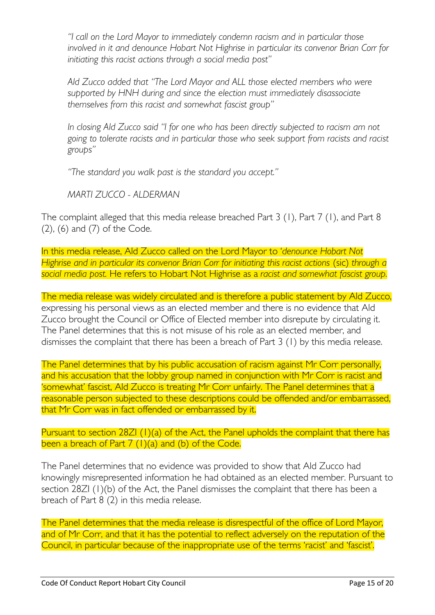*"I call on the Lord Mayor to immediately condemn racism and in particular those involved in it and denounce Hobart Not Highrise in particular its convenor Brian Corr for initiating this racist actions through a social media post"*

Ald Zucco added that "The Lord Mayor and ALL those elected members who were *supported by HNH during and since the election must immediately disassociate themselves from this racist and somewhat fascist group"*

*In closing Ald Zucco said "I for one who has been directly subjected to racism am not going to tolerate racists and in particular those who seek support from racists and racist groups"*

*"The standard you walk past is the standard you accept."*

*MARTI ZUCCO - ALDERMAN*

The complaint alleged that this media release breached Part 3 (1), Part 7 (1), and Part 8 (2), (6) and (7) of the Code.

In this media release, Ald Zucco called on the Lord Mayor to '*denounce Hobart Not Highrise and in particular its convenor Brian Corr for initiating this racist actions (sic) through a social media post.* He refers to Hobart Not Highrise as a *racist and somewhat fascist group.*

The media release was widely circulated and is therefore a public statement by Ald Zucco, expressing his personal views as an elected member and there is no evidence that Ald Zucco brought the Council or Office of Elected member into disrepute by circulating it. The Panel determines that this is not misuse of his role as an elected member, and dismisses the complaint that there has been a breach of Part 3 (1) by this media release.

The Panel determines that by his public accusation of racism against Mr Corr personally, and his accusation that the lobby group named in conjunction with Mr Corr is racist and 'somewhat' fascist, Ald Zucco is treating Mr Corr unfairly. The Panel determines that a reasonable person subjected to these descriptions could be offended and/or embarrassed, that Mr Corr was in fact offended or embarrassed by it.

Pursuant to section 28ZI (1)(a) of the Act, the Panel upholds the complaint that there has been a breach of Part  $7 (1)(a)$  and  $(b)$  of the Code.

The Panel determines that no evidence was provided to show that Ald Zucco had knowingly misrepresented information he had obtained as an elected member. Pursuant to section 28ZI (1)(b) of the Act, the Panel dismisses the complaint that there has been a breach of Part  $8(2)$  in this media release.

The Panel determines that the media release is disrespectful of the office of Lord Mayor, and of Mr Corr, and that it has the potential to reflect adversely on the reputation of the Council, in particular because of the inappropriate use of the terms 'racist' and 'fascist'.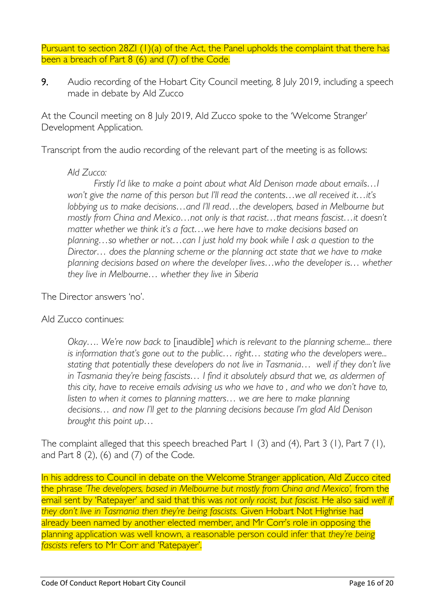Pursuant to section 28ZI (1)(a) of the Act, the Panel upholds the complaint that there has been a breach of Part 8 (6) and (7) of the Code.

9. Audio recording of the Hobart City Council meeting, 8 July 2019, including a speech made in debate by Ald Zucco

At the Council meeting on 8 July 2019, Ald Zucco spoke to the 'Welcome Stranger' Development Application.

Transcript from the audio recording of the relevant part of the meeting is as follows:

#### *Ald Zucco:*

*Firstly I'd like to make a point about what Ald Denison made about emails…I won't give the name of this person but I'll read the contents…we all received it…it's lobbying us to make decisions…and I'll read…the developers, based in Melbourne but mostly from China and Mexico…not only is that racist…that means fascist…it doesn't matter whether we think it's a fact…we here have to make decisions based on planning…so whether or not…can I just hold my book while I ask a question to the Director… does the planning scheme or the planning act state that we have to make planning decisions based on where the developer lives…who the developer is… whether they live in Melbourne… whether they live in Siberia*

The Director answers 'no'.

# Ald Zucco continues:

*Okay…. We're now back to* [inaudible] *which is relevant to the planning scheme... there is information that's gone out to the public… right… stating who the developers were... stating that potentially these developers do not live in Tasmania… well if they don't live in Tasmania they're being fascists… I find it absolutely absurd that we, as aldermen of this city, have to receive emails advising us who we have to , and who we don't have to,*  listen to when it comes to planning matters... we are here to make planning *decisions… and now I'll get to the planning decisions because I'm glad Ald Denison brought this point up…*

The complaint alleged that this speech breached Part 1 (3) and (4), Part 3 (1), Part 7 (1), and Part 8 (2), (6) and (7) of the Code.

In his address to Council in debate on the Welcome Stranger application, Ald Zucco cited the phrase *'The developers, based in Melbourne but mostly from China and Mexico', from the* email sent by 'Ratepayer' and said that this was *not only racist, but fascist.* He also said *well if they don't live in Tasmania then they're being fascists.* Given Hobart Not Highrise had already been named by another elected member, and Mr Corr's role in opposing the planning application was well known, a reasonable person could infer that *they're being fascists* refers to Mr Corr and 'Ratepayer'.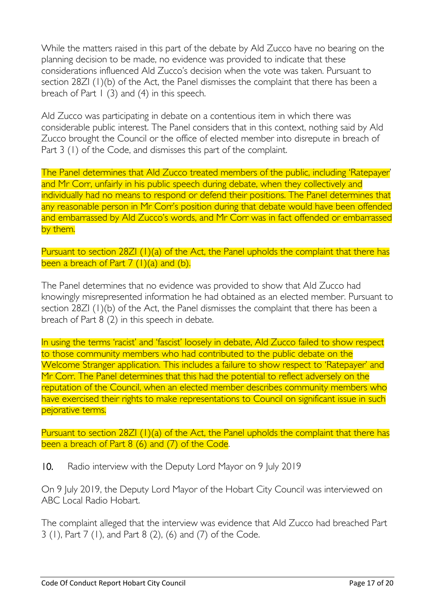While the matters raised in this part of the debate by Ald Zucco have no bearing on the planning decision to be made, no evidence was provided to indicate that these considerations influenced Ald Zucco's decision when the vote was taken. Pursuant to section 28ZI (1)(b) of the Act, the Panel dismisses the complaint that there has been a breach of Part  $1$  (3) and (4) in this speech.

Ald Zucco was participating in debate on a contentious item in which there was considerable public interest. The Panel considers that in this context, nothing said by Ald Zucco brought the Council or the office of elected member into disrepute in breach of Part 3 (1) of the Code, and dismisses this part of the complaint.

The Panel determines that Ald Zucco treated members of the public, including 'Ratepayer' and Mr Corr, unfairly in his public speech during debate, when they collectively and individually had no means to respond or defend their positions. The Panel determines that any reasonable person in Mr Corr's position during that debate would have been offended and embarrassed by Ald Zucco's words, and Mr Corr was in fact offended or embarrassed by them.

Pursuant to section 28ZI (1)(a) of the Act, the Panel upholds the complaint that there has been a breach of Part  $7(1)(a)$  and  $(b)$ .

The Panel determines that no evidence was provided to show that Ald Zucco had knowingly misrepresented information he had obtained as an elected member. Pursuant to section 28ZI (1)(b) of the Act, the Panel dismisses the complaint that there has been a breach of Part 8 (2) in this speech in debate.

In using the terms 'racist' and 'fascist' loosely in debate, Ald Zucco failed to show respect to those community members who had contributed to the public debate on the Welcome Stranger application. This includes a failure to show respect to 'Ratepayer' and Mr Corr. The Panel determines that this had the potential to reflect adversely on the reputation of the Council, when an elected member describes community members who have exercised their rights to make representations to Council on significant issue in such pejorative terms.

Pursuant to section 28ZI (1)(a) of the Act, the Panel upholds the complaint that there has been a breach of Part 8 (6) and (7) of the Code.

10. Radio interview with the Deputy Lord Mayor on 9 July 2019

On 9 July 2019, the Deputy Lord Mayor of the Hobart City Council was interviewed on ABC Local Radio Hobart.

The complaint alleged that the interview was evidence that Ald Zucco had breached Part 3 (1), Part 7 (1), and Part 8 (2), (6) and (7) of the Code.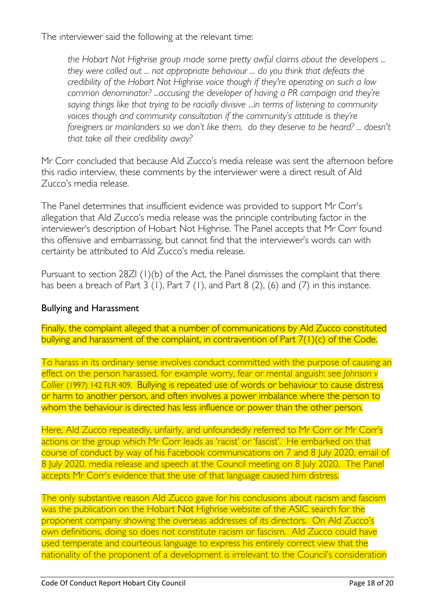The interviewer said the following at the relevant time:

*the Hobart Not Highrise group made some pretty awful claims about the developers ... they were called out ... not appropriate behaviour ... do you think that defeats the credibility of the Hobart Not Highrise voice though if they're operating on such a low common denominator? ...accusing the developer of having a PR campaign and they're saying things like that trying to be racially divisive ...in terms of listening to community*  voices though and community consultation if the community's attitude is they're *foreigners or mainlanders so we don't like them, do they deserve to be heard? ... doesn't that take all their credibility away?*

Mr Corr concluded that because Ald Zucco's media release was sent the afternoon before this radio interview, these comments by the interviewer were a direct result of Ald Zucco's media release.

The Panel determines that insufficient evidence was provided to support Mr Corr's allegation that Ald Zucco's media release was the principle contributing factor in the interviewer's description of Hobart Not Highrise. The Panel accepts that Mr Corr found this offensive and embarrassing, but cannot find that the interviewer's words can with certainty be attributed to Ald Zucco's media release.

Pursuant to section 28ZI (1)(b) of the Act, the Panel dismisses the complaint that there has been a breach of Part  $3$  (1), Part  $7$  (1), and Part  $8$  (2), (6) and (7) in this instance.

### Bullying and Harassment

Finally, the complaint alleged that a number of communications by Ald Zucco constituted bullying and harassment of the complaint, in contravention of Part 7(1)(c) of the Code.

To harass in its ordinary sense involves conduct committed with the purpose of causing an effect on the person harassed, for example worry, fear or mental anguish: see *Johnson v Collier* [\(1997\) 142 FLR 409.](http://www.austlii.edu.au/cgi-bin/LawCite?cit=(1997)%20142%20FLR%20409) Bullying is repeated use of words or behaviour to cause distress or harm to another person, and often involves a power imbalance where the person to whom the behaviour is directed has less influence or power than the other person.

Here, Ald Zucco repeatedly, unfairly, and unfoundedly referred to Mr Corr or Mr Corr's actions or the group which Mr Corr leads as 'racist' or 'fascist'. He embarked on that course of conduct by way of his Facebook communications on 7 and 8 July 2020, email of 8 July 2020, media release and speech at the Council meeting on 8 July 2020. The Panel accepts Mr Corr's evidence that the use of that language caused him distress.

The only substantive reason Ald Zucco gave for his conclusions about racism and fascism was the publication on the Hobart Not Highrise website of the ASIC search for the proponent company showing the overseas addresses of its directors. On Ald Zucco's own definitions, doing so does not constitute racism or fascism. Ald Zucco could have used temperate and courteous language to express his entirely correct view that the nationality of the proponent of a development is irrelevant to the Council's consideration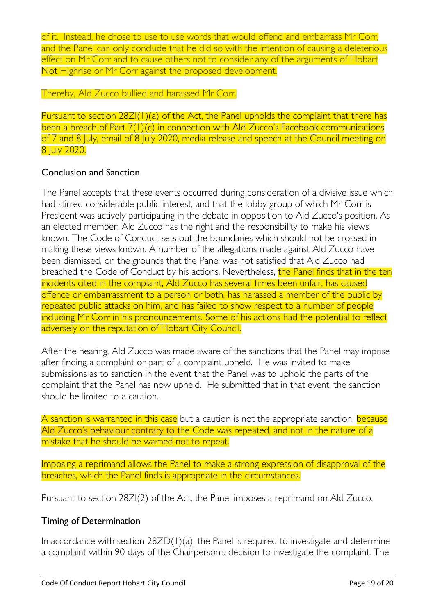of it. Instead, he chose to use to use words that would offend and embarrass Mr Corr, and the Panel can only conclude that he did so with the intention of causing a deleterious effect on Mr Corr and to cause others not to consider any of the arguments of Hobart Not Highrise or Mr Corr against the proposed development.

Thereby, Ald Zucco bullied and harassed Mr Corr.

Pursuant to section 28ZI(1)(a) of the Act, the Panel upholds the complaint that there has been a breach of Part 7(1)(c) in connection with Ald Zucco's Facebook communications of 7 and 8 July, email of 8 July 2020, media release and speech at the Council meeting on 8 July 2020.

# Conclusion and Sanction

The Panel accepts that these events occurred during consideration of a divisive issue which had stirred considerable public interest, and that the lobby group of which Mr Corr is President was actively participating in the debate in opposition to Ald Zucco's position. As an elected member, Ald Zucco has the right and the responsibility to make his views known. The Code of Conduct sets out the boundaries which should not be crossed in making these views known. A number of the allegations made against Ald Zucco have been dismissed, on the grounds that the Panel was not satisfied that Ald Zucco had breached the Code of Conduct by his actions. Nevertheless, the Panel finds that in the ten incidents cited in the complaint, Ald Zucco has several times been unfair, has caused offence or embarrassment to a person or both, has harassed a member of the public by repeated public attacks on him, and has failed to show respect to a number of people including Mr Corr in his pronouncements. Some of his actions had the potential to reflect adversely on the reputation of Hobart City Council.

After the hearing, Ald Zucco was made aware of the sanctions that the Panel may impose after finding a complaint or part of a complaint upheld. He was invited to make submissions as to sanction in the event that the Panel was to uphold the parts of the complaint that the Panel has now upheld. He submitted that in that event, the sanction should be limited to a caution.

A sanction is warranted in this case but a caution is not the appropriate sanction, because Ald Zucco's behaviour contrary to the Code was repeated, and not in the nature of a mistake that he should be warned not to repeat.

Imposing a reprimand allows the Panel to make a strong expression of disapproval of the breaches, which the Panel finds is appropriate in the circumstances.

Pursuant to section 28ZI(2) of the Act, the Panel imposes a reprimand on Ald Zucco.

# Timing of Determination

In accordance with section 28ZD(1)(a), the Panel is required to investigate and determine a complaint within 90 days of the Chairperson's decision to investigate the complaint. The